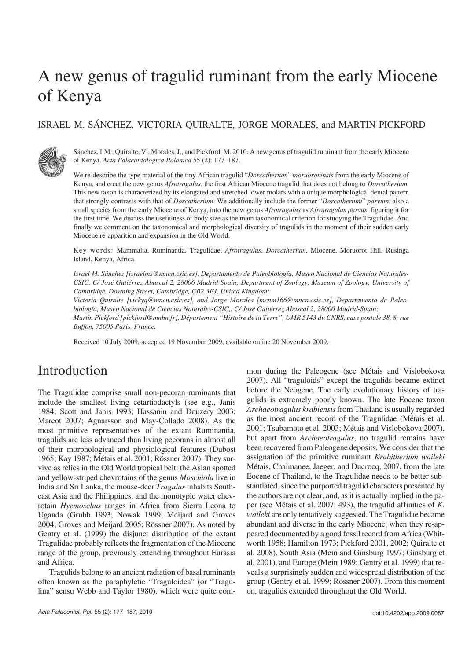# A new genus of tragulid ruminant from the early Miocene of Kenya

### ISRAEL M. SÁNCHEZ, VICTORIA QUIRALTE, JORGE MORALES, and MARTIN PICKFORD



Sánchez, I.M., Quiralte, V., Morales, J., and Pickford, M. 2010. A new genus of tragulid ruminant from the early Miocene of Kenya. *Acta Palaeontologica Polonica* 55 (2): 177–187.

We re−describe the type material of the tiny African tragulid "*Dorcatherium*" *moruorotensis* from the early Miocene of Kenya, and erect the new genus *Afrotragulus*, the first African Miocene tragulid that does not belong to *Dorcatherium*. This new taxon is characterized by its elongated and stretched lower molars with a unique morphological dental pattern that strongly contrasts with that of *Dorcatherium*. We additionally include the former "*Dorcatherium*" *parvum*, also a small species from the early Miocene of Kenya, into the new genus *Afrotragulus* as *Afrotragulus parvus*, figuring it for the first time. We discuss the usefulness of body size as the main taxonomical criterion for studying the Tragulidae. And finally we comment on the taxonomical and morphological diversity of tragulids in the moment of their sudden early Miocene re−apparition and expansion in the Old World.

Key words: Mammalia, Ruminantia, Tragulidae, *Afrotragulus*, *Dorcatherium*, Miocene, Moruorot Hill, Rusinga Island, Kenya, Africa.

*Israel M. Sánchez [israelms@mncn.csic.es], Departamento de Paleobiología, Museo Nacional de Ciencias Naturales− CSIC. C/ José Gutiérrez Abascal 2, 28006 Madrid−Spain; Department of Zoology, Museum of Zoology, University of Cambridge, Downing Street, Cambridge, CB2 3EJ, United Kingdom;*

*Victoria Quiralte [vickyq@mncn.csic.es], and Jorge Morales [mcnm166@mncn.csic.es], Departamento de Paleo− biología, Museo Nacional de Ciencias Naturales−CSIC,. C/ José Gutiérrez Abascal 2, 28006 Madrid−Spain; Martin Pickford [pickford@mnhn.fr], Département "Histoire de la Terre", UMR 5143 du CNRS, case postale 38, 8, rue Buffon, 75005 Paris, France.*

Received 10 July 2009, accepted 19 November 2009, available online 20 November 2009.

### Introduction

The Tragulidae comprise small non−pecoran ruminants that include the smallest living cetartiodactyls (see e.g., Janis 1984; Scott and Janis 1993; Hassanin and Douzery 2003; Marcot 2007; Agnarsson and May−Collado 2008). As the most primitive representatives of the extant Ruminantia, tragulids are less advanced than living pecorans in almost all of their morphological and physiological features (Dubost 1965; Kay 1987; Métais et al. 2001; Rössner 2007). They sur− vive as relics in the Old World tropical belt: the Asian spotted and yellow−striped chevrotains of the genus *Moschiola* live in India and Sri Lanka, the mouse−deer *Tragulus* inhabits South− east Asia and the Philippines, and the monotypic water chev− rotain *Hyemoschus* ranges in Africa from Sierra Leona to Uganda (Grubb 1993; Nowak 1999; Meijard and Groves 2004; Groves and Meijard 2005; Rössner 2007). As noted by Gentry et al. (1999) the disjunct distribution of the extant Tragulidae probably reflects the fragmentation of the Miocene range of the group, previously extending throughout Eurasia and Africa.

Tragulids belong to an ancient radiation of basal ruminants often known as the paraphyletic "Traguloidea" (or "Tragu− lina" sensu Webb and Taylor 1980), which were quite com− mon during the Paleogene (see Métais and Vislobokova 2007). All "traguloids" except the tragulids became extinct before the Neogene. The early evolutionary history of tra− gulids is extremely poorly known. The late Eocene taxon *Archaeotragulus krabiensis*from Thailand is usually regarded as the most ancient record of the Tragulidae (Métais et al. 2001; Tsubamoto et al. 2003; Métais and Vislobokova 2007), but apart from *Archaeotragulus*, no tragulid remains have been recovered from Paleogene deposits. We consider that the assignation of the primitive ruminant *Krabitherium waileki* Métais, Chaimanee, Jaeger, and Ducrocq, 2007, from the late Eocene of Thailand, to the Tragulidae needs to be better sub− stantiated, since the purported tragulid characters presented by the authors are not clear, and, as it is actually implied in the pa− per (see Métais et al. 2007: 493), the tragulid affinities of *K. waileki* are only tentatively suggested. The Tragulidae became abundant and diverse in the early Miocene, when they re−ap− peared documented by a good fossil record from Africa (Whit− worth 1958; Hamilton 1973; Pickford 2001, 2002; Quiralte et al. 2008), South Asia (Mein and Ginsburg 1997; Ginsburg et al. 2001), and Europe (Mein 1989; Gentry et al. 1999) that re− veals a surprisingly sudden and widespread distribution of the group (Gentry et al. 1999; Rössner 2007). From this moment on, tragulids extended throughout the Old World.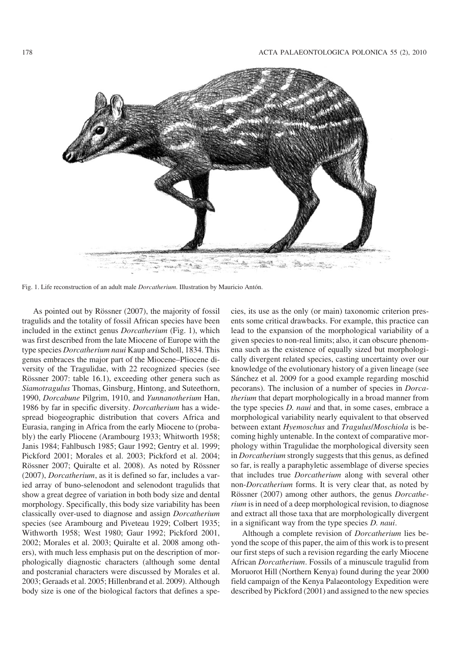

Fig. 1. Life reconstruction of an adult male *Dorcatherium*. Illustration by Mauricio Antón.

As pointed out by Rössner (2007), the majority of fossil tragulids and the totality of fossil African species have been included in the extinct genus *Dorcatherium* (Fig. 1), which was first described from the late Miocene of Europe with the type species *Dorcatherium naui* Kaup and Scholl, 1834. This genus embraces the major part of the Miocene–Pliocene di− versity of the Tragulidae, with 22 recognized species (see Rössner 2007: table 16.1), exceeding other genera such as *Siamotragulus* Thomas, Ginsburg, Hintong, and Suteethorn, 1990, *Dorcabune* Pilgrim, 1910, and *Yunnanotherium* Han, 1986 by far in specific diversity. *Dorcatherium* has a wide− spread biogeographic distribution that covers Africa and Eurasia, ranging in Africa from the early Miocene to (proba− bly) the early Pliocene (Arambourg 1933; Whitworth 1958; Janis 1984; Fahlbusch 1985; Gaur 1992; Gentry et al. 1999; Pickford 2001; Morales et al. 2003; Pickford et al. 2004; Rössner 2007; Quiralte et al. 2008). As noted by Rössner (2007), *Dorcatherium*, as it is defined so far, includes a var− ied array of buno−selenodont and selenodont tragulids that show a great degree of variation in both body size and dental morphology. Specifically, this body size variability has been classically over−used to diagnose and assign *Dorcatherium* species (see Arambourg and Piveteau 1929; Colbert 1935; Withworth 1958; West 1980; Gaur 1992; Pickford 2001, 2002; Morales et al. 2003; Quiralte et al. 2008 among oth− ers), with much less emphasis put on the description of mor− phologically diagnostic characters (although some dental and postcranial characters were discussed by Morales et al. 2003; Geraads et al. 2005; Hillenbrand et al. 2009). Although body size is one of the biological factors that defines a spe−

cies, its use as the only (or main) taxonomic criterion pres− ents some critical drawbacks. For example, this practice can lead to the expansion of the morphological variability of a given species to non−real limits; also, it can obscure phenom− ena such as the existence of equally sized but morphologi− cally divergent related species, casting uncertainty over our knowledge of the evolutionary history of a given lineage (see Sánchez et al. 2009 for a good example regarding moschid pecorans). The inclusion of a number of species in *Dorca− therium* that depart morphologically in a broad manner from the type species *D. naui* and that, in some cases, embrace a morphological variability nearly equivalent to that observed between extant *Hyemoschus* and *Tragulus*/*Moschiola* is be− coming highly untenable. In the context of comparative mor− phology within Tragulidae the morphological diversity seen in *Dorcatherium* strongly suggests that this genus, as defined so far, is really a paraphyletic assemblage of diverse species that includes true *Dorcatherium* along with several other non−*Dorcatherium* forms. It is very clear that, as noted by Rössner (2007) among other authors, the genus *Dorcathe− rium* is in need of a deep morphological revision, to diagnose and extract all those taxa that are morphologically divergent in a significant way from the type species *D. naui*.

Although a complete revision of *Dorcatherium* lies be− yond the scope of this paper, the aim of this work is to present our first steps of such a revision regarding the early Miocene African *Dorcatherium*. Fossils of a minuscule tragulid from Moruorot Hill (Northern Kenya) found during the year 2000 field campaign of the Kenya Palaeontology Expedition were described by Pickford (2001) and assigned to the new species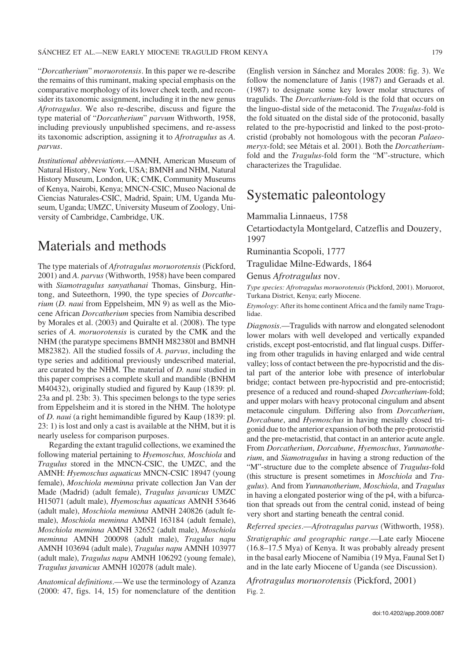SÁNCHEZ ET AL.—NEW EARLY MIOCENE TRAGULID FROM KENYA 179

"*Dorcatherium*" *moruorotensis*. In this paper we re−describe the remains of this ruminant, making special emphasis on the comparative morphology of its lower cheek teeth, and recon− sider its taxonomic assignment, including it in the new genus *Afrotragulus*. We also re−describe, discuss and figure the type material of "*Dorcatherium*" *parvum* Withworth, 1958, including previously unpublished specimens, and re−assess its taxonomic adscription, assigning it to *Afrotragulus* as *A. parvus*.

*Institutional abbreviations*.—AMNH, American Museum of Natural History, New York, USA; BMNH and NHM, Natural History Museum, London, UK; CMK, Community Museums of Kenya, Nairobi, Kenya; MNCN−CSIC, Museo Nacional de Ciencias Naturales−CSIC, Madrid, Spain; UM, Uganda Mu− seum, Uganda; UMZC, University Museum of Zoology, Uni− versity of Cambridge, Cambridge, UK.

### Materials and methods

The type materials of *Afrotragulus moruorotensis* (Pickford, 2001) and *A. parvus* (Withworth, 1958) have been compared with *Siamotragulus sanyathanai* Thomas, Ginsburg, Hin− tong, and Suteethorn, 1990, the type species of *Dorcathe− rium* (*D. naui* from Eppelsheim, MN 9) as well as the Mio− cene African *Dorcatherium* species from Namibia described by Morales et al. (2003) and Quiralte et al. (2008). The type series of *A. moruorotensis* is curated by the CMK and the NHM (the paratype specimens BMNH M82380l and BMNH M82382). All the studied fossils of *A. parvus*, including the type series and additional previously undescribed material, are curated by the NHM. The material of *D. naui* studied in this paper comprises a complete skull and mandible (BNHM M40432), originally studied and figured by Kaup (1839: pl. 23a and pl. 23b: 3). This specimen belongs to the type series from Eppelsheim and it is stored in the NHM. The holotype of *D. naui* (a right hemimandible figured by Kaup (1839: pl. 23: 1) is lost and only a cast is available at the NHM, but it is nearly useless for comparison purposes.

Regarding the extant tragulid collections, we examined the following material pertaining to *Hyemoschus, Moschiola* and *Tragulus* stored in the MNCN−CSIC, the UMZC, and the AMNH: *Hyemoschus aquaticus* MNCN−CSIC 18947 (young female), *Moschiola meminna* private collection Jan Van der Made (Madrid) (adult female), *Tragulus javanicus* UMZC H15071 (adult male), *Hyemoschus aquaticus* AMNH 53646 (adult male), *Moschiola meminna* AMNH 240826 (adult fe− male), *Moschiola meminna* AMNH 163184 (adult female), *Moschiola meminna* AMNH 32652 (adult male), *Moschiola meminna* AMNH 200098 (adult male), *Tragulus napu* AMNH 103694 (adult male), *Tragulus napu* AMNH 103977 (adult male), *Tragulus napu* AMNH 106292 (young female), *Tragulus javanicus* AMNH 102078 (adult male).

*Anatomical definitions*.—We use the terminology of Azanza (2000: 47, figs. 14, 15) for nomenclature of the dentition (English version in Sánchez and Morales 2008: fig. 3). We follow the nomenclature of Janis (1987) and Geraads et al. (1987) to designate some key lower molar structures of tragulids. The *Dorcatherium*−fold is the fold that occurs on the linguo−distal side of the metaconid. The *Tragulus*−fold is the fold situated on the distal side of the protoconid, basally related to the pre−hypocristid and linked to the post−proto− cristid (probably not homologous with the pecoran *Palaeo− meryx*−fold; see Métais et al. 2001). Both the *Dorcatherium*− fold and the *Tragulus*−fold form the "M"−structure, which characterizes the Tragulidae.

### Systematic paleontology

Mammalia Linnaeus, 1758

Cetartiodactyla Montgelard, Catzeflis and Douzery, 1997

Ruminantia Scopoli, 1777

Tragulidae Milne−Edwards, 1864

Genus *Afrotragulus* nov.

*Type species: Afrotragulus moruorotensis* (Pickford, 2001). Moruorot, Turkana District, Kenya; early Miocene.

*Etymology*: After its home continent Africa and the family name Tragu− lidae.

*Diagnosis*.—Tragulids with narrow and elongated selenodont lower molars with well developed and vertically expanded cristids, except post−entocristid, and flat lingual cusps. Differ− ing from other tragulids in having enlarged and wide central valley; loss of contact between the pre−hypocristid and the dis− tal part of the anterior lobe with presence of interlobular bridge; contact between pre−hypocristid and pre−entocristid; presence of a reduced and round−shaped *Dorcatherium*−fold; and upper molars with heavy protoconal cingulum and absent metaconule cingulum. Differing also from *Dorcatherium*, *Dorcabune*, and *Hyemoschus* in having mesially closed tri− gonid due to the anterior expansion of both the pre−protocristid and the pre−metacristid, that contact in an anterior acute angle. From *Dorcatherium*, *Dorcabune*, *Hyemoschus*, *Yunnanothe− rium*, and *Siamotragulus* in having a strong reduction of the "M"−structure due to the complete absence of *Tragulus*−fold (this structure is present sometimes in *Moschiola* and *Tra− gulus*). And from *Yunnanotherium*, *Moschiola*, and *Tragulus* in having a elongated posterior wing of the p4, with a bifurca− tion that spreads out from the central conid, instead of being very short and starting beneath the central conid.

*Referred species*.—*Afrotragulus parvus* (Withworth, 1958).

*Stratigraphic and geographic range*.—Late early Miocene (16.8–17.5 Mya) of Kenya. It was probably already present in the basal early Miocene of Namibia (19 Mya, Faunal Set I) and in the late early Miocene of Uganda (see Discussion).

*Afrotragulus moruorotensis* (Pickford, 2001) Fig. 2.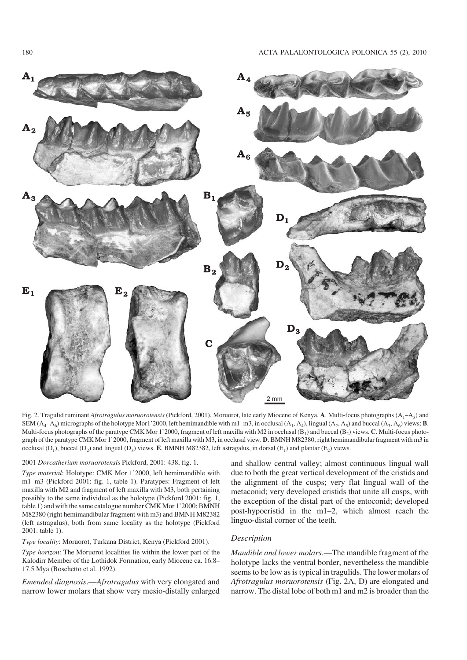

Fig. 2. Tragulid ruminant *Afrotragulus moruorotensis* (Pickford, 2001), Moruorot, late early Miocene of Kenya. **A**. Multi−focus photographs (A1–A3) and SEM  $(A_4-A_6)$  micrographs of the holotype Mor1'2000, left hemimandible with m1–m3, in occlusal  $(A_1, A_4)$ , lingual  $(A_2, A_5)$  and buccal  $(A_3, A_6)$  views; **B**. Multi-focus photographs of the paratype CMK Mor 1'2000, fragment of left maxilla with M2 in occlusal (B<sub>1</sub>) and buccal (B<sub>2</sub>) views. **C**. Multi-focus photograph of the paratype CMK Mor 1'2000, fragment of left maxilla with M3, in occlusal view. **D**. BMNH M82380, right hemimandibular fragment with m3 in occlusal  $(D_1)$ , buccal  $(D_2)$  and lingual  $(D_3)$  views. **E**. BMNH M82382, left astragalus, in dorsal  $(E_1)$  and plantar  $(E_2)$  views.

#### 2001 *Dorcatherium moruorotensis* Pickford, 2001: 438, fig. 1.

*Type material*: Holotype: CMK Mor 1'2000, left hemimandible with m1–m3 (Pickford 2001: fig. 1, table 1). Paratypes: Fragment of left maxilla with M2 and fragment of left maxilla with M3, both pertaining possibly to the same individual as the holotype (Pickford 2001: fig. 1, table 1) and with the same catalogue number CMK Mor 1'2000; BMNH M82380 (right hemimandibular fragment with m3) and BMNH M82382 (left astragalus), both from same locality as the holotype (Pickford 2001: table 1).

#### *Type locality*: Moruorot, Turkana District, Kenya (Pickford 2001).

*Type horizon*: The Moruorot localities lie within the lower part of the Kalodirr Member of the Lothidok Formation, early Miocene ca. 16.8– 17.5 Mya (Boschetto et al. 1992).

*Emended diagnosis*.—*Afrotragulus* with very elongated and narrow lower molars that show very mesio−distally enlarged

and shallow central valley; almost continuous lingual wall due to both the great vertical development of the cristids and the alignment of the cusps; very flat lingual wall of the metaconid; very developed cristids that unite all cusps, with the exception of the distal part of the entoconid; developed post−hypocristid in the m1–2, which almost reach the linguo−distal corner of the teeth.

#### *Description*

*Mandible and lower molars*.—The mandible fragment of the holotype lacks the ventral border, nevertheless the mandible seems to be low as is typical in tragulids. The lower molars of *Afrotragulus moruorotensis* (Fig. 2A, D) are elongated and narrow. The distal lobe of both m1 and m2 is broader than the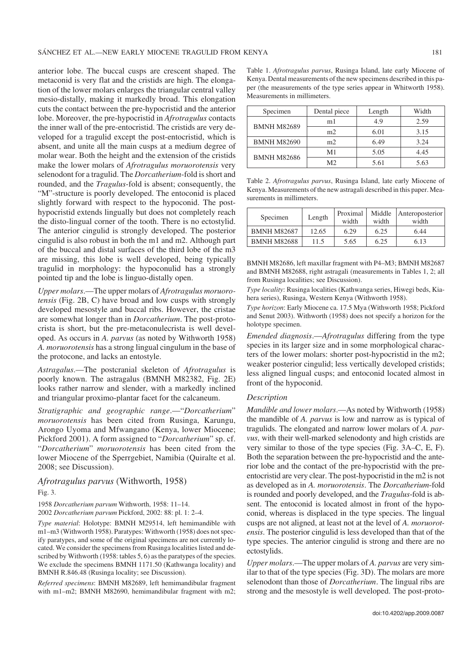anterior lobe. The buccal cusps are crescent shaped. The metaconid is very flat and the cristids are high. The elonga− tion of the lower molars enlarges the triangular central valley mesio−distally, making it markedly broad. This elongation cuts the contact between the pre−hypocristid and the anterior lobe. Moreover, the pre−hypocristid in *Afrotragulus* contacts the inner wall of the pre−entocristid. The cristids are very de− veloped for a tragulid except the post−entocristid, which is absent, and unite all the main cusps at a medium degree of molar wear. Both the height and the extension of the cristids make the lower molars of *Afrotragulus moruorotensis* very selenodont for a tragulid. The *Dorcatherium*−fold is short and rounded, and the *Tragulus*−fold is absent; consequently, the "M"−structure is poorly developed. The entoconid is placed slightly forward with respect to the hypoconid. The post− hypocristid extends lingually but does not completely reach the disto−lingual corner of the tooth. There is no ectostylid. The anterior cingulid is strongly developed. The posterior cingulid is also robust in both the m1 and m2. Although part of the buccal and distal surfaces of the third lobe of the m3 are missing, this lobe is well developed, being typically tragulid in morphology: the hypoconulid has a strongly pointed tip and the lobe is linguo−distally open.

*Upper molars*.—The upper molars of *Afrotragulus moruoro− tensis* (Fig. 2B, C) have broad and low cusps with strongly developed mesostyle and buccal ribs. However, the cristae are somewhat longer than in *Dorcatherium*. The post−proto− crista is short, but the pre−metaconulecrista is well devel− oped. As occurs in *A. parvus* (as noted by Withworth 1958) *A. moruorotensis* has a strong lingual cingulum in the base of the protocone, and lacks an entostyle.

*Astragalus*.—The postcranial skeleton of *Afrotragulus* is poorly known. The astragalus (BMNH M82382, Fig. 2E) looks rather narrow and slender, with a markedly inclined and triangular proximo−plantar facet for the calcaneum.

*Stratigraphic and geographic range*.—"*Dorcatherium*" *moruorotensis* has been cited from Rusinga, Karungu, Arongo Uyoma and Mfwangano (Kenya, lower Miocene; Pickford 2001). A form assigned to "*Dorcatherium*" sp. cf. "*Dorcatherium*" *moruorotensis* has been cited from the lower Miocene of the Sperrgebiet, Namibia (Quiralte et al. 2008; see Discussion).

#### *Afrotragulus parvus* (Withworth, 1958)

Fig. 3.

1958 *Dorcatherium parvum* Withworth, 1958: 11–14.

2002 *Dorcatherium parvum* Pickford, 2002: 88: pl. 1: 2–4.

*Type material*: Holotype: BMNH M29514, left hemimandible with m1–m3 (Withworth 1958). Paratypes: Withworth (1958) does not spec− ify paratypes, and some of the original specimens are not currently lo− cated. We consider the specimens from Rusinga localities listed and de− scribed by Withworth (1958: tables 5, 6) as the paratypes of the species. We exclude the specimens BMNH 1171.50 (Kathwanga locality) and BMNH R.846.48 (Rusinga locality; see Discussion).

*Referred specimens*: BMNH M82689, left hemimandibular fragment with m1–m2; BMNH M82690, hemimandibular fragment with m2;

Table 1. *Afrotragulus parvus*, Rusinga Island, late early Miocene of Kenya. Dental measurements of the new specimens described in this pa− per (the measurements of the type series appear in Whitworth 1958). Measurements in millimeters.

| Specimen           | Dental piece   | Length | Width |
|--------------------|----------------|--------|-------|
| <b>BMNH M82689</b> | m1             | 4.9    | 2.59  |
|                    | m2             | 6.01   | 3.15  |
| <b>BMNH M82690</b> | m <sub>2</sub> | 6.49   | 3.24  |
| <b>BMNH M82686</b> | M1             | 5.05   | 4.45  |
|                    | M2             | 5.61   | 5.63  |

Table 2. *Afrotragulus parvus*, Rusinga Island, late early Miocene of Kenya. Measurements of the new astragali described in this paper. Mea− surements in millimeters.

| Specimen           | Length | Proximal<br>width | Middle<br>width | Anteroposterior<br>width |
|--------------------|--------|-------------------|-----------------|--------------------------|
| <b>BMNH M82687</b> | 12.65  | 6.29              | 6.25            | 6.44                     |
| <b>BMNH M82688</b> | 11.5   | 5.65              | 6.25            | 6.13                     |

BMNH M82686, left maxillar fragment with P4–M3; BMNH M82687 and BMNH M82688, right astragali (measurements in Tables 1, 2; all from Rusinga localities; see Discussion).

*Type locality*: Rusinga localities (Kathwanga series, Hiwegi beds, Kia− hera series), Rusinga, Western Kenya (Withworth 1958).

*Type horizon*: Early Miocene ca. 17.5 Mya (Withworth 1958; Pickford and Senut 2003). Withworth (1958) does not specify a horizon for the holotype specimen.

*Emended diagnosis*.—*Afrotragulus* differing from the type species in its larger size and in some morphological characters of the lower molars: shorter post−hypocristid in the m2; weaker posterior cingulid; less vertically developed cristids; less aligned lingual cusps; and entoconid located almost in front of the hypoconid.

#### *Description*

*Mandible and lower molars*.—As noted by Withworth (1958) the mandible of *A. parvus* is low and narrow as is typical of tragulids. The elongated and narrow lower molars of *A. par− vus*, with their well−marked selenodonty and high cristids are very similar to those of the type species (Fig. 3A–C, E, F). Both the separation between the pre−hypocristid and the ante− rior lobe and the contact of the pre−hypocristid with the pre− entocristid are very clear. The post−hypocristid in the m2 is not as developed as in *A. moruorotensis*. The *Dorcatherium*−fold is rounded and poorly developed, and the *Tragulus*−fold is ab− sent. The entoconid is located almost in front of the hypoconid, whereas is displaced in the type species. The lingual cusps are not aligned, at least not at the level of *A. moruorot− ensis*. The posterior cingulid is less developed than that of the type species. The anterior cingulid is strong and there are no ectostylids.

*Upper molars*.—The upper molars of *A. parvus* are very sim− ilar to that of the type species (Fig. 3D). The molars are more selenodont than those of *Dorcatherium*. The lingual ribs are strong and the mesostyle is well developed. The post−proto−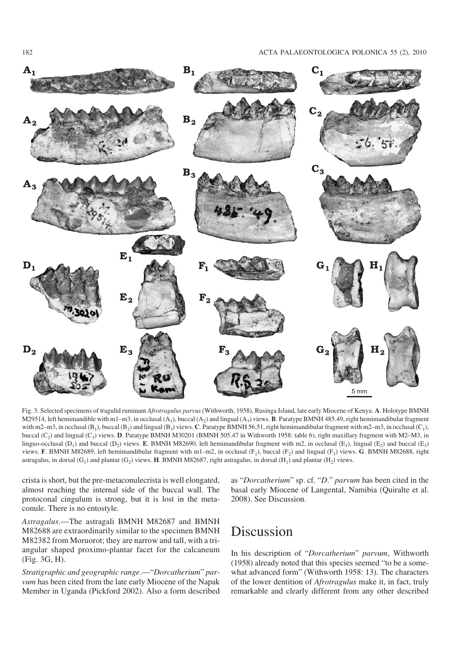

Fig. 3. Selected specimens of tragulid ruminant *Afrotragulus parvus* (Withworth, 1958), Rusinga Island, late early Miocene of Kenya. **A**. Holotype BMNH M29514, left hemimandible with m1–m3, in occlusal  $(A_1)$ , buccal  $(A_2)$  and lingual  $(A_3)$  views. **B**. Paratype BMNH 485.49, right hemimandibular fragment with m2–m3, in occlusal (B<sub>1</sub>), buccal (B<sub>2</sub>) and lingual (B<sub>3</sub>) views. **C**. Paratype BMNH 56.51, right hemimandibular fragment with m2–m3, in occlusal (C<sub>1</sub>), buccal  $(C_2)$  and lingual  $(C_3)$  views. **D**. Paratype BMNH M30201 (BMNH 505.47 in Withworth 1958: table 6), right maxillary fragment with M2–M3, in linguo-occlusal (D<sub>1</sub>) and buccal (D<sub>2</sub>) views. **E**. BMNH M82690, left hemimandibular fragment with m2, in occlusal (E<sub>1</sub>), lingual (E<sub>2</sub>) and buccal (E<sub>3</sub>) views. **F**. BMNH M82689, left hemimandibular fragment with m1–m2, in occlusal  $(F_1)$ , buccal  $(F_2)$  and lingual  $(F_3)$  views. **G**. BMNH M82688, right astragalus, in dorsal (G<sub>1</sub>) and plantar (G<sub>2</sub>) views. **H**. BMNH M82687, right astragalus, in dorsal (H<sub>1</sub>) and plantar (H<sub>2</sub>) views.

crista is short, but the pre−metaconulecrista is well elongated, almost reaching the internal side of the buccal wall. The protoconal cingulum is strong, but it is lost in the meta− conule. There is no entostyle.

*Astragalus*.—The astragali BMNH M82687 and BMNH M82688 are extraordinarily similar to the specimen BMNH M82382 from Moruorot; they are narrow and tall, with a tri− angular shaped proximo−plantar facet for the calcaneum (Fig. 3G, H).

*Stratigraphic and geographic range*.—"*Dorcatherium*" *par− vum* has been cited from the late early Miocene of the Napak Member in Uganda (Pickford 2002). Also a form described as "*Dorcatherium*" sp. cf. "*D*." *parvum* has been cited in the basal early Miocene of Langental, Namibia (Quiralte et al. 2008). See Discussion.

## Discussion

In his description of "*Dorcatherium*" *parvum*, Withworth (1958) already noted that this species seemed "to be a some− what advanced form" (Withworth 1958: 13). The characters of the lower dentition of *Afrotragulus* make it, in fact, truly remarkable and clearly different from any other described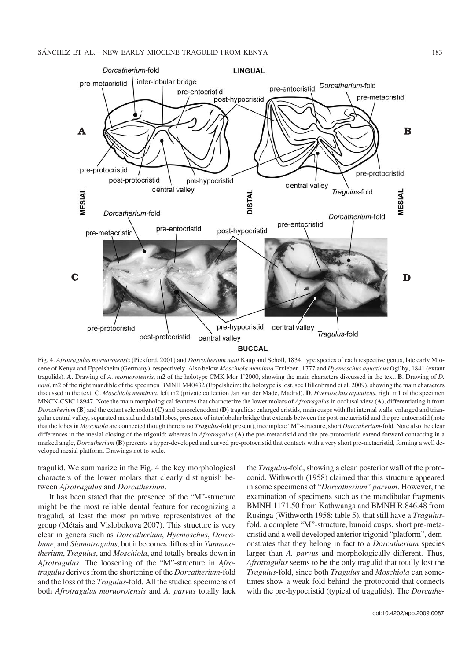

Fig. 4. *Afrotragulus moruorotensis* (Pickford, 2001) and *Dorcatherium naui* Kaup and Scholl, 1834, type species of each respective genus, late early Mio− cene of Kenya and Eppelsheim (Germany), respectively. Also below *Moschiola meminna* Erxleben, 1777 and *Hyemoschus aquaticus* Ogilby, 1841 (extant tragulids). **A**. Drawing of *A. moruorotensis*, m2 of the holotype CMK Mor 1'2000, showing the main characters discussed in the text. **B**. Drawing of *D. naui*, m2 of the right mandible of the specimen BMNH M40432 (Eppelsheim; the holotype is lost, see Hillenbrand et al. 2009), showing the main characters discussed in the text. **C**. *Moschiola meminna*, left m2 (private collection Jan van der Made, Madrid). **D**. *Hyemoschus aquaticus*, right m1 of the specimen MNCN−CSIC 18947. Note the main morphological features that characterize the lower molars of *Afrotragulus* in occlusal view (**A**), differentiating it from *Dorcatherium* (**B**) and the extant selenodont (**C**) and bunoselenodont (**D**) tragulids: enlarged cristids, main cusps with flat internal walls, enlarged and trian− gular central valley, separated mesial and distal lobes, presence of interlobular bridge that extends between the post−metacristid and the pre−entocristid (note that the lobes in *Moschiola* are connected though there is no *Tragulus*−fold present), incomplete "M"−structure, short *Dorcatherium*−fold. Note also the clear differences in the mesial closing of the trigonid: whereas in *Afrotragulus* (**A**) the pre−metacristid and the pre−protocristid extend forward contacting in a marked angle, *Dorcatherium* (**B**) presents a hyper−developed and curved pre−protocristid that contacts with a very short pre−metacristid, forming a well de− veloped mesial platform. Drawings not to scale.

tragulid. We summarize in the Fig. 4 the key morphological characters of the lower molars that clearly distinguish be− tween *Afrotragulus* and *Dorcatherium*.

It has been stated that the presence of the "M"−structure might be the most reliable dental feature for recognizing a tragulid, at least the most primitive representatives of the group (Métais and Vislobokova 2007). This structure is very clear in genera such as *Dorcatherium*, *Hyemoschus*, *Dorca− bune*, and *Siamotragulus*, but it becomes diffused in *Yunnano− therium*, *Tragulus*, and *Moschiola*, and totally breaks down in *Afrotragulus*. The loosening of the "M"−structure in *Afro− tragulus* derives from the shortening of the *Dorcatherium*−fold and the loss of the *Tragulus*−fold. All the studied specimens of both *Afrotragulus moruorotensis* and *A. parvus* totally lack the *Tragulus*−fold, showing a clean posterior wall of the proto− conid. Withworth (1958) claimed that this structure appeared in some specimens of "*Dorcatherium*" *parvum*. However, the examination of specimens such as the mandibular fragments BMNH 1171.50 from Kathwanga and BMNH R.846.48 from Rusinga (Withworth 1958: table 5), that still have a *Tragulus*− fold, a complete "M"−structure, bunoid cusps, short pre−meta− cristid and a well developed anterior trigonid "platform", dem− onstrates that they belong in fact to a *Dorcatherium* species larger than *A. parvus* and morphologically different. Thus, *Afrotragulus* seems to be the only tragulid that totally lost the *Tragulus*−fold, since both *Tragulus* and *Moschiola* can some− times show a weak fold behind the protoconid that connects with the pre−hypocristid (typical of tragulids). The *Dorcathe−*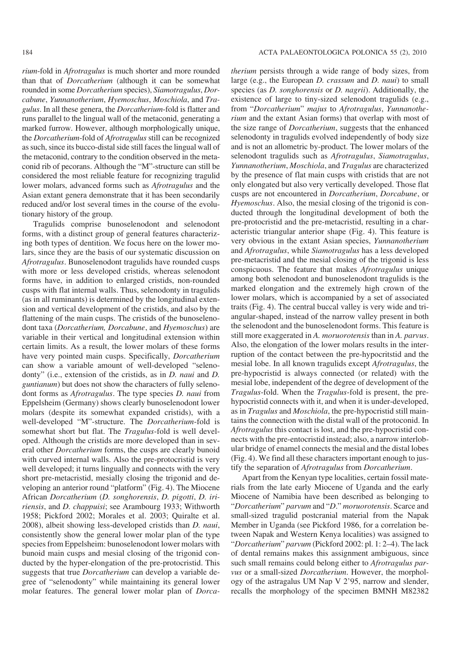*rium*−fold in *Afrotragulus* is much shorter and more rounded than that of *Dorcatherium* (although it can be somewhat rounded in some *Dorcatherium* species), *Siamotragulus*, *Dor− cabune*, *Yunnanotherium*, *Hyemoschus*, *Moschiola*, and *Tra− gulus*. In all these genera, the *Dorcatherium*−fold is flatter and runs parallel to the lingual wall of the metaconid, generating a marked furrow. However, although morphologically unique, the *Dorcatherium*−fold of *Afrotragulus* still can be recognized as such, since its bucco−distal side still faces the lingual wall of the metaconid, contrary to the condition observed in the meta− conid rib of pecorans. Although the "M"−structure can still be considered the most reliable feature for recognizing tragulid lower molars, advanced forms such as *Afrotragulus* and the Asian extant genera demonstrate that it has been secondarily reduced and/or lost several times in the course of the evolu− tionary history of the group.

Tragulids comprise bunoselenodont and selenodont forms, with a distinct group of general features characteriz− ing both types of dentition. We focus here on the lower mo− lars, since they are the basis of our systematic discussion on *Afrotragulus*. Bunoselenodont tragulids have rounded cusps with more or less developed cristids, whereas selenodont forms have, in addition to enlarged cristids, non−rounded cusps with flat internal walls. Thus, selenodonty in tragulids (as in all ruminants) is determined by the longitudinal exten− sion and vertical development of the cristids, and also by the flattening of the main cusps. The cristids of the bunoseleno− dont taxa (*Dorcatherium, Dorcabune*, and *Hyemoschus*) are variable in their vertical and longitudinal extension within certain limits. As a result, the lower molars of these forms have very pointed main cusps. Specifically, *Dorcatherium* can show a variable amount of well−developed "seleno− donty" (i.e., extension of the cristids, as in *D. naui* and *D. guntianum*) but does not show the characters of fully selenodont forms as *Afrotragulus*. The type species *D. naui* from Eppelsheim (Germany) shows clearly bunoselenodont lower molars (despite its somewhat expanded cristids), with a well−developed "M"−structure. The *Dorcatherium*−fold is somewhat short but flat. The *Tragulus*−fold is well devel− oped. Although the cristids are more developed than in sev− eral other *Dorcatherium* forms, the cusps are clearly bunoid with curved internal walls. Also the pre−protocristid is very well developed; it turns lingually and connects with the very short pre−metacristid, mesially closing the trigonid and de− veloping an anterior round "platform" (Fig. 4). The Miocene African *Dorcatherium* (*D. songhorensis*, *D. pigotti*, *D. iri− riensis*, and *D. chappuisi*; see Arambourg 1933; Withworth 1958; Pickford 2002; Morales et al. 2003; Quiralte et al. 2008), albeit showing less−developed cristids than *D. naui*, consistently show the general lower molar plan of the type species from Eppelsheim: bunoselenodont lower molars with bunoid main cusps and mesial closing of the trigonid con− ducted by the hyper−elongation of the pre−protocristid. This suggests that true *Dorcatherium* can develop a variable de− gree of "selenodonty" while maintaining its general lower molar features. The general lower molar plan of *Dorca−*

*therium* persists through a wide range of body sizes, from large (e.g., the European *D. crassum* and *D. naui*) to small species (as *D. songhorensis* or *D. nagrii*). Additionally, the existence of large to tiny−sized selenodont tragulids (e.g., from "*Dorcatherium*" *majus* to *Afrotragulus*, *Yunnanothe− rium* and the extant Asian forms) that overlap with most of the size range of *Dorcatherium*, suggests that the enhanced selenodonty in tragulids evolved independently of body size and is not an allometric by−product. The lower molars of the selenodont tragulids such as *Afrotragulus*, *Siamotragulus*, *Yunnanotherium*, *Moschiola*, and *Tragulus* are characterized by the presence of flat main cusps with cristids that are not only elongated but also very vertically developed. Those flat cusps are not encountered in *Dorcatherium*, *Dorcabune*, or *Hyemoschus*. Also, the mesial closing of the trigonid is con− ducted through the longitudinal development of both the pre−protocristid and the pre−metacristid, resulting in a char− acteristic triangular anterior shape (Fig. 4). This feature is very obvious in the extant Asian species, *Yunnanotherium* and *Afrotragulus*, while *Siamotragulus* has a less developed pre−metacristid and the mesial closing of the trigonid is less conspicuous. The feature that makes *Afrotragulus* unique among both selenodont and bunoselenodont tragulids is the marked elongation and the extremely high crown of the lower molars, which is accompanied by a set of associated traits (Fig. 4). The central buccal valley is very wide and tri− angular−shaped, instead of the narrow valley present in both the selenodont and the bunoselenodont forms. This feature is still more exaggerated in *A. moruorotensis* than in *A. parvus*. Also, the elongation of the lower molars results in the inter− ruption of the contact between the pre−hypocritstid and the mesial lobe. In all known tragulids except *Afrotragulus*, the pre−hypocristid is always connected (or related) with the mesial lobe, independent of the degree of development of the *Tragulus*−fold. When the *Tragulus*−fold is present, the pre− hypocristid connects with it, and when it is under−developed, as in *Tragulus* and *Moschiola*, the pre−hypocristid still main− tains the connection with the distal wall of the protoconid. In *Afrotragulus* this contact is lost, and the pre−hypocristid con− nects with the pre−entocristid instead; also, a narrow interlob− ular bridge of enamel connects the mesial and the distal lobes (Fig. 4). We find all these characters important enough to jus− tify the separation of *Afrotragulus* from *Dorcatherium*.

Apart from the Kenyan type localities, certain fossil mate− rials from the late early Miocene of Uganda and the early Miocene of Namibia have been described as belonging to "*Dorcatherium*" *parvum* and "*D*." *moruorotensis*. Scarce and small−sized tragulid postcranial material from the Napak Member in Uganda (see Pickford 1986, for a correlation be− tween Napak and Western Kenya localities) was assigned to "*Dorcatherium*" *parvum* (Pickford 2002: pl. 1: 2–4). The lack of dental remains makes this assignment ambiguous, since such small remains could belong either to *Afrotragulus par− vus* or a small−sized *Dorcatherium*. However, the morphol− ogy of the astragalus UM Nap V 2'95, narrow and slender, recalls the morphology of the specimen BMNH M82382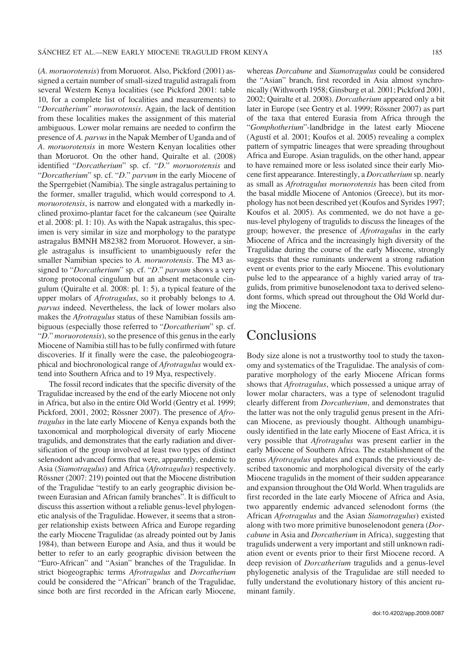(*A. moruorotensis*) from Moruorot. Also, Pickford (2001) as− signed a certain number of small−sized tragulid astragali from several Western Kenya localities (see Pickford 2001: table 10, for a complete list of localities and measurements) to "*Dorcatherium*" *moruorotensis*. Again, the lack of dentition from these localities makes the assignment of this material ambiguous. Lower molar remains are needed to confirm the presence of *A. parvus*in the Napak Member of Uganda and of *A*. *moruorotensis* in more Western Kenyan localities other than Moruorot. On the other hand, Quiralte et al. (2008) identified "*Dorcatherium*" sp. cf. "*D*." *moruorotensis* and "*Dorcatherium*" sp. cf. "*D*." *parvum* in the early Miocene of the Sperrgebiet (Namibia). The single astragalus pertaining to the former, smaller tragulid, which would correspond to *A. moruorotensis*, is narrow and elongated with a markedly in− clined proximo−plantar facet for the calcaneum (see Quiralte et al. 2008: pl. 1: 10). As with the Napak astragalus, this spec− imen is very similar in size and morphology to the paratype astragalus BMNH M82382 from Moruorot. However, a sin− gle astragalus is insufficient to unambiguously refer the smaller Namibian species to *A. moruorotensis*. The M3 as− signed to "*Dorcatherium*" sp. cf. "*D*." *parvum* shows a very strong protoconal cingulum but an absent metaconule cin− gulum (Quiralte et al. 2008: pl. 1: 5), a typical feature of the upper molars of *Afrotragulus*, so it probably belongs to *A. parvus* indeed. Nevertheless, the lack of lower molars also makes the *Afrotragulus* status of these Namibian fossils am− biguous (especially those referred to "*Dorcatherium*" sp. cf. "*D*." *moruorotensis*), so the presence of this genus in the early Miocene of Namibia still has to be fully confirmed with future discoveries. If it finally were the case, the paleobiogeogra− phical and biochronological range of *Afrotragulus* would ex− tend into Southern Africa and to 19 Mya, respectively.

The fossil record indicates that the specific diversity of the Tragulidae increased by the end of the early Miocene not only in Africa, but also in the entire Old World (Gentry et al. 1999; Pickford, 2001, 2002; Rössner 2007). The presence of *Afro− tragulus* in the late early Miocene of Kenya expands both the taxonomical and morphological diversity of early Miocene tragulids, and demonstrates that the early radiation and diver− sification of the group involved at least two types of distinct selenodont advanced forms that were, apparently, endemic to Asia (*Siamotragulus*) and Africa (*Afrotragulus*) respectively. Rössner (2007: 219) pointed out that the Miocene distribution of the Tragulidae "testify to an early geographic division be− tween Eurasian and African family branches". It is difficult to discuss this assertion without a reliable genus−level phylogen− etic analysis of the Tragulidae. However, it seems that a stron− ger relationship exists between Africa and Europe regarding the early Miocene Tragulidae (as already pointed out by Janis 1984), than between Europe and Asia, and thus it would be better to refer to an early geographic division between the "Euro−African" and "Asian" branches of the Tragulidae. In strict biogeographic terms *Afrotragulus* and *Dorcatherium* could be considered the "African" branch of the Tragulidae, since both are first recorded in the African early Miocene, whereas *Dorcabune* and *Siamotragulus* could be considered the "Asian" branch, first recorded in Asia almost synchro− nically (Withworth 1958; Ginsburg et al. 2001; Pickford 2001, 2002; Quiralte et al. 2008). *Dorcatherium* appeared only a bit later in Europe (see Gentry et al. 1999; Rössner 2007) as part of the taxa that entered Eurasia from Africa through the "*Gomphotherium*"−landbridge in the latest early Miocene (Agustí et al. 2001; Koufos et al. 2005) revealing a complex pattern of sympatric lineages that were spreading throughout Africa and Europe. Asian tragulids, on the other hand, appear to have remained more or less isolated since their early Mio− cene first appearance. Interestingly, a *Dorcatherium* sp. nearly as small as *Afrotragulus moruorotensis* has been cited from the basal middle Miocene of Antonios (Greece), but its mor− phology has not been described yet (Koufos and Syrides 1997; Koufos et al. 2005). As commented, we do not have a ge− nus−level phylogeny of tragulids to discuss the lineages of the group; however, the presence of *Afrotragulus* in the early Miocene of Africa and the increasingly high diversity of the Tragulidae during the course of the early Miocene, strongly suggests that these ruminants underwent a strong radiation event or events prior to the early Miocene. This evolutionary pulse led to the appearance of a highly varied array of tra− gulids, from primitive bunoselenodont taxa to derived seleno− dont forms, which spread out throughout the Old World dur− ing the Miocene.

### Conclusions

Body size alone is not a trustworthy tool to study the taxon− omy and systematics of the Tragulidae. The analysis of com− parative morphology of the early Miocene African forms shows that *Afrotragulus*, which possessed a unique array of lower molar characters, was a type of selenodont tragulid clearly different from *Dorcatherium*, and demonstrates that the latter was not the only tragulid genus present in the Afri− can Miocene, as previously thought. Although unambigu− ously identified in the late early Miocene of East Africa, it is very possible that *Afrotragulus* was present earlier in the early Miocene of Southern Africa. The establishment of the genus *Afrotragulus* updates and expands the previously de− scribed taxonomic and morphological diversity of the early Miocene tragulids in the moment of their sudden appearance and expansion throughout the Old World. When tragulids are first recorded in the late early Miocene of Africa and Asia, two apparently endemic advanced selenodont forms (the African *Afrotragulus* and the Asian *Siamotragulus*) existed along with two more primitive bunoselenodont genera (*Dor− cabune* in Asia and *Dorcatherium* in Africa), suggesting that tragulids underwent a very important and still unknown radi− ation event or events prior to their first Miocene record. A deep revision of *Dorcatherium* tragulids and a genus−level phylogenetic analysis of the Tragulidae are still needed to fully understand the evolutionary history of this ancient ru− minant family.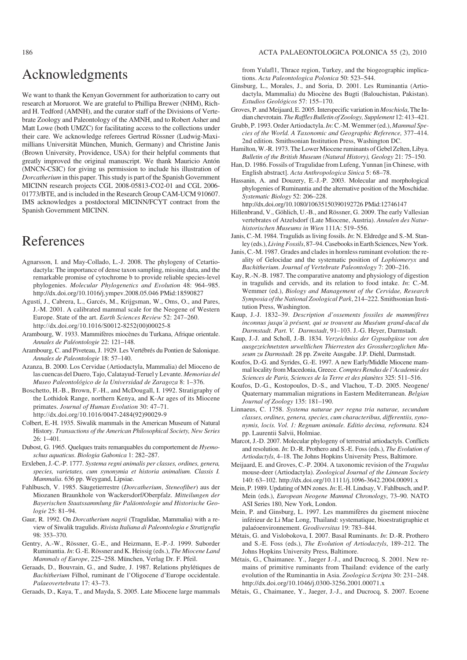## Acknowledgments

We want to thank the Kenyan Government for authorization to carry out research at Moruorot. We are grateful to Phillipa Brewer (NHM), Rich− ard H. Tedford (AMNH), and the curator staff of the Divisions of Verte− brate Zoology and Paleontology of the AMNH, and to Robert Asher and Matt Lowe (both UMZC) for facilitating access to the collections under their care. We acknowledge referees Gertrud Rössner (Ludwig−Maxi− millians Universität München, Munich, Germany) and Christine Janis (Brown University, Providence, USA) for their helpful comments that greatly improved the original manuscript. We thank Mauricio Antón (MNCN−CSIC) for giving us permission to include his illustration of *Dorcatherium* in this paper. This study is part of the Spanish Government MICINN research projects CGL 2008−05813−CO2−01 and CGL 2006− 01773/BTE, and is included in the Research Group CAM−UCM 910607. IMS acknowledges a postdoctoral MICINN/FCYT contract from the Spanish Government MICINN.

### References

- Agnarsson, I. and May−Collado, L.−J. 2008. The phylogeny of Cetartio− dactyla: The importance of dense taxon sampling, missing data, and the remarkable promise of cytochrome b to provide reliable species−level phylogenies. *Molecular Phylogenetics and Evolution* 48: 964–985. http://dx.doi.org/10.1016/j.ympev.2008.05.046 PMid:18590827
- Agustí, J., Cabrera, L., Garcés, M., Krijgsman, W., Oms, O., and Pares, J.−M. 2001. A calibrated mammal scale for the Neogene of Western Europe. State of the art. *Earth Sciences Review* 52: 247–260. http://dx.doi.org/10.1016/S0012-8252(00)00025-8
- Arambourg, W. 1933. Mammifères miocènes du Turkana, Afrique orientale. *Annales de Paléontologie* 22: 121–148.
- Arambourg, C. and Piveteau, J. 1929. Les Vertébrés du Pontien de Salonique. *Annales de Paleontologie* 18: 57–140.
- Azanza, B. 2000. Los Cervidae (Artiodactyla, Mammalia) del Mioceno de las cuencas del Duero, Tajo, Calatayud−Teruel y Levante. *Memorias del Museo Paleontológico de la Universidad de Zaragoza* 8: 1–376.
- Boschetto, H.−B., Brown, F.−H., and McDougall, I. 1992. Stratigraphy of the Lothidok Range, northern Kenya, and K−Ar ages of its Miocene primates. *Journal of Human Evolution* 30: 47–71. http://dx.doi.org/10.1016/0047-2484(92)90029-9
- Colbert, E.−H. 1935. Siwalik mammals in the American Museum of Natural History. *Transactions of the American Philosophical Society, New Series*  $26:1-401$ .
- Dubost, G. 1965. Quelques traits remarquables du comportement de *Hyemo− schus aquaticus*. *Biologia Gabonica* 1: 282–287.
- Erxleben, J.−C.−P. 1777. *Systema regni animalis per classes, ordines, genera, species, varietates, cum synonymia et historia animalium. Classis I. Mammalia*. 636 pp. Weygand, Lipsiae.
- Fahlbusch, V. 1985. Säugetierrestre (*Dorcatherium*, *Steneofiber*) aus der Miozanen Braunkhole von Wackersdorf/Oberpfalz. *Mitteilungen der Bayerischen Staatssammlung für Paläontologie und Historische Geo− logie* 25: 81–94.
- Gaur, R. 1992. On *Dorcatherium nagrii* (Tragulidae, Mammalia) with a re− view of Siwalik tragulids. *Rivista Italiana di Paleontologia e Stratigrafia* 98: 353–370.
- Gentry, A.−W., Rössner, G.−E., and Heizmann, E.−P.−J. 1999. Suborder Ruminantia.*In*: G.−E. Rössner and K. Heissig (eds.), *The Miocene Land Mammals of Europe*, 225–258. München, Verlag Dr. F. Pfeil.
- Geraads, D., Bouvrain, G., and Sudre, J. 1987. Relations phylétiques de *Bachitherium* Filhol, ruminant de l'Oligocene d'Europe occidentale. *Palaeovertebrata* 17: 43–73.

Geraads, D., Kaya, T., and Mayda, S. 2005. Late Miocene large mammals

#### 186 ACTA PALAEONTOLOGICA POLONICA 55 (2), 2010

from Yulafl1, Thrace region, Turkey, and the biogeographic implica− tions. *Acta Paleontologica Polonica* 50: 523–544.

- Ginsburg, L., Morales, J., and Soria, D. 2001. Les Ruminantia (Artio− dactyla, Mammalia) du Miocène des Bugti (Balouchistan, Pakistan). *Estudios Geológicos* 57: 155–170.
- Groves, P. and Meijaard, E. 2005. Interspecific variation in *Moschiola*, The In− dian chevrotain. *The Raffles Bulletin of Zoology, Supplement* 12: 413–421.
- Grubb, P. 1993. Order Artiodactyla.*In*: C.−M. Wemmer (ed.), *Mammal Spe− cies of the World. A Taxonomic and Geographic Reference,* 377–414. 2nd edition. Smithsonian Institution Press, Washington DC.
- Hamilton, W.−R. 1973. The Lower Miocene ruminants of Gebel Zelten, Libya. *Bulletin of the British Museum (Natural History), Geology* 21: 75–150.
- Han, D. 1986. Fossils of Tragulidae from Lufeng, Yunnan [in Chinese, with English abstract]. *Acta Anthropologica Sinica* 5: 68–78.
- Hassanin, A. and Douzery, E.−J.−P. 2003. Molecular and morphological phylogenies of Ruminantia and the alternative position of the Moschidae. *Systematic Biology* 52: 206–228.

http://dx.doi.org/10.1080/10635150390192726 PMid:12746147

- Hillenbrand, V., Göhlich, U.−B., and Rössner, G. 2009. The early Vallesian vertebrates of Atzelsdorf (Late Miocene, Austria). *Annalen des Natur− historischen Museums in Wien* 111A: 519–556.
- Janis, C.−M. 1984. Tragulids as living fossils. *In*: N. Eldredge and S.−M. Stan− ley (eds.), *Living Fossils*, 87–94. Casebooks in Earth Sciences, New York.
- Janis, C.−M. 1987. Grades and clades in hornless ruminant evolution: the re− ality of Gelocidae and the systematic position of *Lophiomeryx* and *Bachitherium*. *Journal of Vertebrate Paleontology* 7: 200–216.
- Kay, R.−N.−B. 1987. The comparative anatomy and physiology of digestion in tragulids and cervids, and its relation to food intake. *In*: C.−M. Wemmer (ed.), *Biology and Management of the Cervidae, Research Symposia of the National Zoological Park*, 214–222. Smithsonian Insti− tution Press, Washington.
- Kaup, J.−J. 1832–39. *Description d'ossements fossiles de mammifères inconnus jusqu'à présent, qui se trouvent au Muséum grand−ducal du Darmstadt. Part. V. Darmstadt*, 91–103. J.−G. Heyer, Darmstadt.
- Kaup, J.−J. and Scholl, J.−B. 1834. *Verzeichniss der Gypsabgüsse von den ausgezeichnetsten urweltlichen Thierresten des Grossherzoglichen Mu− seum zu Darmstadt*. 28 pp. Zweite Ausgabe. J.P. Diehl, Darmstadt.
- Koufos, D.−G. and Syrides, G.−E. 1997. A new Early/Middle Miocene mam− mal locality from Macedonia, Greece.*Comptes Rendus de l'Academie des Sciences de Paris, Sciences de la Terre et des planètes* 325: 511–516.
- Koufos, D.−G., Kostopoulos, D.−S., and Vlachou, T.−D. 2005. Neogene/ Quaternary mammalian migrations in Eastern Mediterranean. *Belgian Journal of Zoology* 135: 181–190.
- Linnaeus, C. 1758. *Systema naturae per regna tria naturae, secundum classes, ordines, genera, species, cum characteribus, differentiis, syno− nymis, locis. Vol. 1: Regnum animale. Editio decima, reformata*. 824 pp. Laurentii Salvii, Holmiae.
- Marcot, J.−D. 2007. Molecular phylogeny of terrestrial artiodactyls. Conflicts and resolution. *In*: D.−R. Prothero and S.−E. Foss (eds.), *The Evolution of Artiodactyls*, 4–18. The Johns Hopkins University Press, Baltimore.
- Meijaard, E. and Groves, C.−P. 2004. A taxonomic revision of the *Tragulus* mouse−deer (Artiodactyla). *Zoological Journal of the Linnean Society* 140: 63–102. http://dx.doi.org/10.1111/j.1096-3642.2004.00091.x
- Mein, P. 1989. Updating of MN zones.*In*: E.−H. Lindsay, V. Fahlbusch, and P. Mein (eds.), *European Neogene Mammal Chronology*, 73–90. NATO ASI Series 180, New York, London.
- Mein, P. and Ginsburg, L. 1997. Les mammifères du gisement miocène inférieur de Li Mae Long, Thailand: systematique, bioestratigraphie et palaéoenvironnement. *Geodiversitas* 19: 783–844.
- Métais, G. and Vislobokova, I. 2007. Basal Ruminants. *In*: D.−R. Prothero and S.−E. Foss (eds.), *The Evolution of Artiodactyls*, 189–212. The Johns Hopkins University Press, Baltimore.
- Métais, G., Chaimanee. Y., Jaeger J.−J., and Ducrocq, S. 2001. New re− mains of primitive ruminants from Thailand: evidence of the early evolution of the Ruminantia in Asia. *Zoologica Scripta* 30: 231–248. http://dx.doi.org/10.1046/j.0300-3256.2001.00071.x
- Métais, G., Chaimanee, Y., Jaeger, J.−J., and Ducrocq, S. 2007. Ecoene